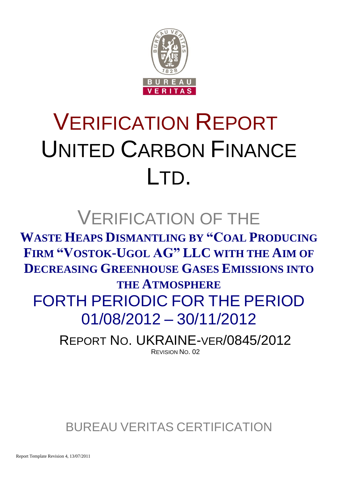

# VERIFICATION REPORT UNITED CARBON FINANCE LTD.

## VERIFICATION OF THE

**WASTE HEAPS DISMANTLING BY "COAL PRODUCING FIRM "VOSTOK-UGOL AG" LLC WITH THE AIM OF DECREASING GREENHOUSE GASES EMISSIONS INTO THE ATMOSPHERE** FORTH PERIODIC FOR THE PERIOD 01/08/2012 – 30/11/2012

> REPORT NO. UKRAINE-VER/0845/2012 REVISION NO. 02

BUREAU VERITAS CERTIFICATION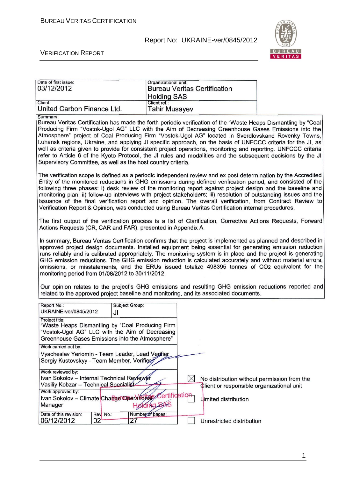

#### VERIFICATION REPORT

| Date of first issue:<br>03/12/2012 | Organizational unit:<br><b>Bureau Veritas Certification</b> |  |
|------------------------------------|-------------------------------------------------------------|--|
|                                    | <b>Holding SAS</b>                                          |  |
| Client:                            | Client ref.:                                                |  |
| United Carbon Finance Ltd.         | <b>Tahir Musayev</b>                                        |  |
| Summary:                           |                                                             |  |

Bureau Veritas Certification has made the forth periodic verification of the "Waste Heaps Dismantling by "Coal Producing Firm "Vostok-Ugol AG" LLC with the Aim of Decreasing Greenhouse Gases Emissions into the Atmosphere" project of Coal Producing Firm "Vostok-Ugol AG" located in Sverdlovskand Rovenky Towns, Luhansk regions, Ukraine, and applying JI specific approach, on the basis of UNFCCC criteria for the JI, as well as criteria given to provide for consistent project operations, monitoring and reporting. UNFCCC criteria refer to Article 6 of the Kyoto Protocol, the JI rules and modalities and the subsequent decisions by the JI Supervisory Committee, as well as the host country criteria.

The verification scope is defined as a periodic independent review and ex post determination by the Accredited Entity of the monitored reductions in GHG emissions during defined verification period, and consisted of the following three phases: i) desk review of the monitoring report against project design and the baseline and monitoring plan; ii) follow-up interviews with project stakeholders; iii) resolution of outstanding issues and the issuance of the final verification report and opinion. The overall verification, from Contract Review to Verification Report & Opinion, was conducted using Bureau Veritas Certification internal procedures.

The first output of the verification process is a list of Clarification, Corrective Actions Requests, Forward Actions Requests (CR, CAR and FAR), presented in Appendix A.

In summary, Bureau Veritas Certification confirms that the project is implemented as planned and described in approved project design documents. Installed equipment being essential for generating emission reduction runs reliably and is calibrated appropriately. The monitoring system is in place and the project is generating GHG emission reductions. The GHG emission reduction is calculated accurately and without material errors, omissions, or misstatements, and the ERUs issued totalize 498395 tonnes of CO2 equivalent for the monitoring period from 01/08/2012 to 30/11/2012.

Our opinion relates to the project's GHG emissions and resulting GHG emission reductions reported and related to the approved project baseline and monitoring, and its associated documents.

| Report No.:                                                                                                           | Subject Group:                                                                                      |                                             |
|-----------------------------------------------------------------------------------------------------------------------|-----------------------------------------------------------------------------------------------------|---------------------------------------------|
| UKRAINE-ver/0845/2012                                                                                                 | JI                                                                                                  |                                             |
| Project title:<br>Greenhouse Gases Emissions into the Atmosphere"                                                     | "Waste Heaps Dismantling by "Coal Producing Firm<br>"Vostok-Ugol AG" LLC with the Aim of Decreasing |                                             |
| Work carried out by:<br>Vyacheslav Yeriomin - Team Leader, Lead Verifier<br>Sergiy Kustovskyy - Team Member, Verifier |                                                                                                     |                                             |
| Work reviewed by:<br>Ivan Sokolov - Internal Technical Reviewer                                                       |                                                                                                     | No distribution without permission from the |
| Vasiliy Kobzar - Technical Specialist                                                                                 |                                                                                                     | Client or responsible organizational unit   |
| Work approved by:<br>Manager                                                                                          | Ivan Sokolov - Climate Change Operations Certification<br>100R                                      | Limited distribution                        |
| Date of this revision:<br>Rev. No.:<br>02<br>06/12/2012                                                               | Number of pages:<br>27                                                                              | Unrestricted distribution                   |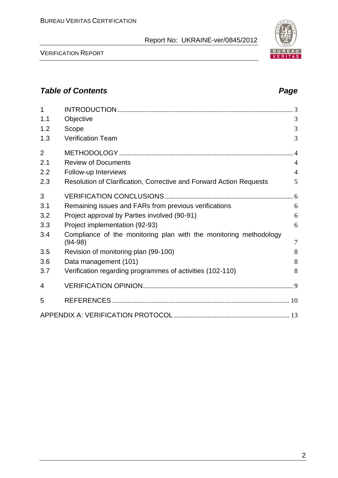VERIFICATION REPORT

| $\mathbf{1}$   |                                                                                |                |
|----------------|--------------------------------------------------------------------------------|----------------|
| 1.1            | Objective                                                                      | 3              |
| 1.2            | Scope                                                                          | 3              |
| 1.3            | <b>Verification Team</b>                                                       | 3              |
| $\overline{2}$ |                                                                                | $\overline{4}$ |
| 2.1            | <b>Review of Documents</b>                                                     | $\overline{4}$ |
| 2.2            | Follow-up Interviews                                                           | $\overline{4}$ |
| 2.3            | Resolution of Clarification, Corrective and Forward Action Requests            | 5              |
| 3              |                                                                                |                |
| 3.1            | Remaining issues and FARs from previous verifications                          | 6              |
| 3.2            | Project approval by Parties involved (90-91)                                   | 6              |
| 3.3            | Project implementation (92-93)                                                 | 6              |
| 3.4            | Compliance of the monitoring plan with the monitoring methodology<br>$(94-98)$ | $\overline{7}$ |
| 3.5            | Revision of monitoring plan (99-100)                                           | 8              |
| 3.6            | Data management (101)                                                          | 8              |
| 3.7            | Verification regarding programmes of activities (102-110)                      | 8              |
| 4              |                                                                                |                |
| 5              |                                                                                |                |
|                |                                                                                |                |





#### *Table of Contents Page*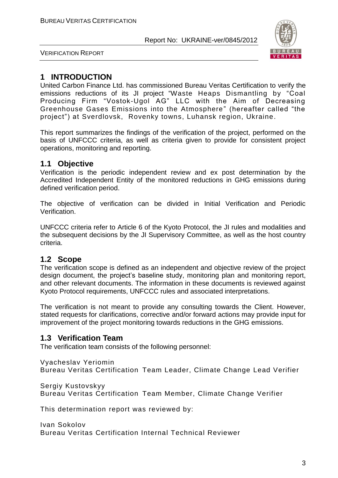

VERIFICATION REPORT

#### **1 INTRODUCTION**

United Carbon Finance Ltd. has commissioned Bureau Veritas Certification to verify the emissions reductions of its JI project "Waste Heaps Dismantling by "Coal Producing Firm "Vostok-Ugol AG" LLC with the Aim of Decreasing Greenhouse Gases Emissions into the Atmosphere" (hereafter called "the project") at Sverdlovsk, Rovenky towns, Luhansk region, Ukraine.

This report summarizes the findings of the verification of the project, performed on the basis of UNFCCC criteria, as well as criteria given to provide for consistent project operations, monitoring and reporting.

#### **1.1 Objective**

Verification is the periodic independent review and ex post determination by the Accredited Independent Entity of the monitored reductions in GHG emissions during defined verification period.

The objective of verification can be divided in Initial Verification and Periodic Verification.

UNFCCC criteria refer to Article 6 of the Kyoto Protocol, the JI rules and modalities and the subsequent decisions by the JI Supervisory Committee, as well as the host country criteria.

#### **1.2 Scope**

The verification scope is defined as an independent and objective review of the project design document, the project's baseline study, monitoring plan and monitoring report, and other relevant documents. The information in these documents is reviewed against Kyoto Protocol requirements, UNFCCC rules and associated interpretations.

The verification is not meant to provide any consulting towards the Client. However, stated requests for clarifications, corrective and/or forward actions may provide input for improvement of the project monitoring towards reductions in the GHG emissions.

#### **1.3 Verification Team**

The verification team consists of the following personnel:

Vyacheslav Yeriomin Bureau Veritas Certification Team Leader, Climate Change Lead Verifier

Sergiy Kustovskyy

Bureau Veritas Certification Team Member, Climate Change Verifier

This determination report was reviewed by:

Ivan Sokolov Bureau Veritas Certification Internal Technical Reviewer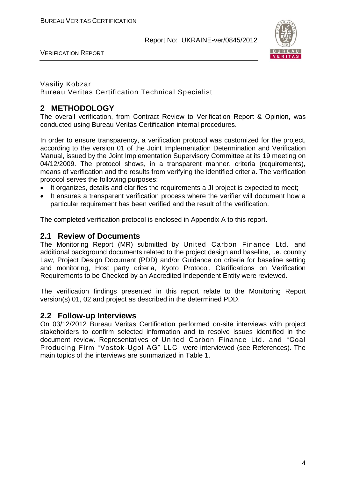VERIFICATION REPORT



#### Vasiliy Kobzar Bureau Veritas Certification Technical Specialist

#### **2 METHODOLOGY**

The overall verification, from Contract Review to Verification Report & Opinion, was conducted using Bureau Veritas Certification internal procedures.

In order to ensure transparency, a verification protocol was customized for the project, according to the version 01 of the Joint Implementation Determination and Verification Manual, issued by the Joint Implementation Supervisory Committee at its 19 meeting on 04/12/2009. The protocol shows, in a transparent manner, criteria (requirements), means of verification and the results from verifying the identified criteria. The verification protocol serves the following purposes:

- It organizes, details and clarifies the requirements a JI project is expected to meet;
- It ensures a transparent verification process where the verifier will document how a particular requirement has been verified and the result of the verification.

The completed verification protocol is enclosed in Appendix A to this report.

#### **2.1 Review of Documents**

The Monitoring Report (MR) submitted by United Carbon Finance Ltd. and additional background documents related to the project design and baseline, i.e. country Law, Project Design Document (PDD) and/or Guidance on criteria for baseline setting and monitoring, Host party criteria, Kyoto Protocol, Clarifications on Verification Requirements to be Checked by an Accredited Independent Entity were reviewed.

The verification findings presented in this report relate to the Monitoring Report version(s) 01, 02 and project as described in the determined PDD.

#### **2.2 Follow-up Interviews**

On 03/12/2012 Bureau Veritas Certification performed on-site interviews with project stakeholders to confirm selected information and to resolve issues identified in the document review. Representatives of United Carbon Finance Ltd. and "Coal Producing Firm "Vostok-Ugol AG" LLC were interviewed (see References). The main topics of the interviews are summarized in Table 1.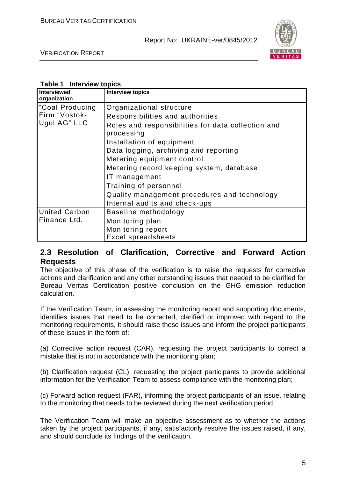

VERIFICATION REPORT

#### **Table 1 Interview topics**

| Interviewed<br>organization                                  | <b>Interview topics</b>                                                                                                                                                                                                                                                                           |
|--------------------------------------------------------------|---------------------------------------------------------------------------------------------------------------------------------------------------------------------------------------------------------------------------------------------------------------------------------------------------|
| Coal Producing <sup>1</sup><br>Firm "Vostok-<br>Ugol AG" LLC | Organizational structure<br>Responsibilities and authorities<br>Roles and responsibilities for data collection and<br>processing<br>Installation of equipment<br>Data logging, archiving and reporting<br>Metering equipment control<br>Metering record keeping system, database<br>IT management |
| <b>United Carbon</b>                                         | Training of personnel<br>Quality management procedures and technology<br>Internal audits and check-ups<br>Baseline methodology                                                                                                                                                                    |
| Finance Ltd.                                                 | Monitoring plan<br>Monitoring report<br><b>Excel spreadsheets</b>                                                                                                                                                                                                                                 |

#### **2.3 Resolution of Clarification, Corrective and Forward Action Requests**

The objective of this phase of the verification is to raise the requests for corrective actions and clarification and any other outstanding issues that needed to be clarified for Bureau Veritas Certification positive conclusion on the GHG emission reduction calculation.

If the Verification Team, in assessing the monitoring report and supporting documents, identifies issues that need to be corrected, clarified or improved with regard to the monitoring requirements, it should raise these issues and inform the project participants of these issues in the form of:

(a) Corrective action request (CAR), requesting the project participants to correct a mistake that is not in accordance with the monitoring plan;

(b) Clarification request (CL), requesting the project participants to provide additional information for the Verification Team to assess compliance with the monitoring plan;

(c) Forward action request (FAR), informing the project participants of an issue, relating to the monitoring that needs to be reviewed during the next verification period.

The Verification Team will make an objective assessment as to whether the actions taken by the project participants, if any, satisfactorily resolve the issues raised, if any, and should conclude its findings of the verification.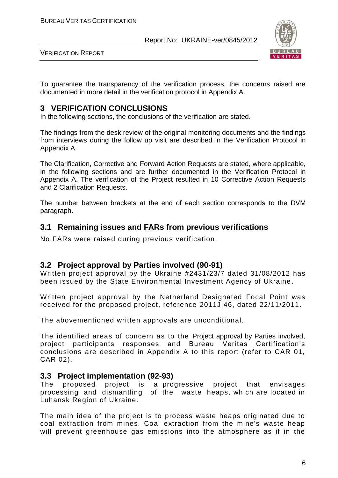

VERIFICATION REPORT

To guarantee the transparency of the verification process, the concerns raised are documented in more detail in the verification protocol in Appendix A.

#### **3 VERIFICATION CONCLUSIONS**

In the following sections, the conclusions of the verification are stated.

The findings from the desk review of the original monitoring documents and the findings from interviews during the follow up visit are described in the Verification Protocol in Appendix A.

The Clarification, Corrective and Forward Action Requests are stated, where applicable, in the following sections and are further documented in the Verification Protocol in Appendix A. The verification of the Project resulted in 10 Corrective Action Requests and 2 Clarification Requests.

The number between brackets at the end of each section corresponds to the DVM paragraph.

#### **3.1 Remaining issues and FARs from previous verifications**

No FARs were raised during previous verification.

#### **3.2 Project approval by Parties involved (90-91)**

Written project approval by the Ukraine #2431/23/7 dated 31/08/2012 has been issued by the State Environmental Investment Agency of Ukraine.

Written project approval by the Netherland Designated Focal Point was received for the proposed project, reference 2011JI46, dated 22/11/2011.

The abovementioned written approvals are unconditional.

The identified areas of concern as to the Project approval by Parties involved, project participants responses and Bureau Veritas Certification's conclusions are described in Appendix A to this report (refer to CAR 01, CAR 02).

#### **3.3 Project implementation (92-93)**

The proposed project is a progressive project that envisages processing and dismantling of the waste heaps, which are located in Luhansk Region of Ukraine.

The main idea of the project is to process waste heaps originated due to coal extraction from mines. Coal extraction from the mine's waste heap will prevent greenhouse gas emissions into the atmosphere as if in the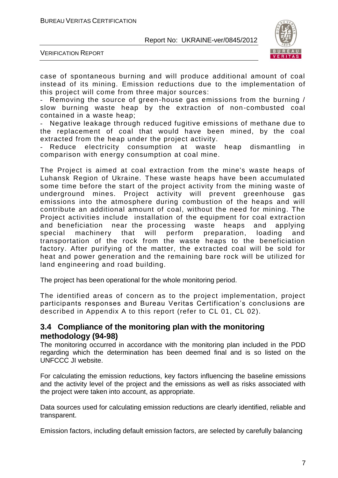

VERIFICATION REPORT

case of spontaneous burning and will produce additional amount of coal instead of its mining. Emission reductions due to the implementation of this project will come from three major sources:

- Removing the source of green-house gas emissions from the burning / slow burning waste heap by the extraction of non -combusted coal contained in a waste heap;

Negative leakage through reduced fugitive emissions of methane due to the replacement of coal that would have been mined, by the coal extracted from the heap under the project activity.

Reduce electricity consumption at waste heap dismantling in comparison with energy consumption at coal mine.

The Project is aimed at coal extraction from the mine's waste heaps of Luhansk Region of Ukraine. These waste heaps have been accumulated some time before the start of the project activity from the mining waste of underground mines. Project activity will prevent greenhouse gas emissions into the atmosphere during combustion of the heaps and will contribute an additional amount of coal, without the need for mining. The Project activities include installation of the equipment for coal extraction and beneficiation near the processing waste heaps and applying special machinery that will perform preparation, loading and transportation of the rock from the waste heaps to the beneficiation factory. After purifying of the matter, the extracted coal will be sold for heat and power generation and the remaining bare rock will be utilized for land engineering and road building.

The project has been operational for the whole monitoring period.

The identified areas of concern as to the project implementation, project participants responses and Bureau Veritas Certification's conclusions are described in Appendix A to this report (refer to CL 01, CL 02).

#### **3.4 Compliance of the monitoring plan with the monitoring methodology (94-98)**

The monitoring occurred in accordance with the monitoring plan included in the PDD regarding which the determination has been deemed final and is so listed on the UNFCCC JI website.

For calculating the emission reductions, key factors influencing the baseline emissions and the activity level of the project and the emissions as well as risks associated with the project were taken into account, as appropriate.

Data sources used for calculating emission reductions are clearly identified, reliable and transparent.

Emission factors, including default emission factors, are selected by carefully balancing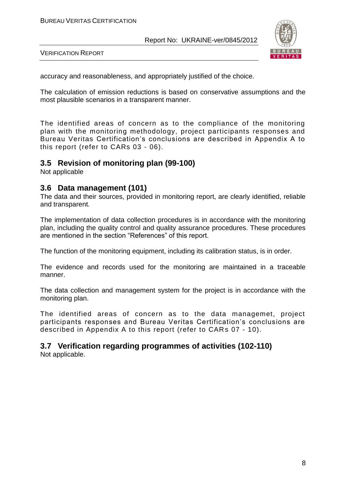

VERIFICATION REPORT

accuracy and reasonableness, and appropriately justified of the choice.

The calculation of emission reductions is based on conservative assumptions and the most plausible scenarios in a transparent manner.

The identified areas of concern as to the compliance of the monitoring plan with the monitoring methodology, project participants responses and Bureau Veritas Certification's conclusions are described in Appendix A to this report (refer to CARs 03 - 06).

#### **3.5 Revision of monitoring plan (99-100)**

Not applicable

#### **3.6 Data management (101)**

The data and their sources, provided in monitoring report, are clearly identified, reliable and transparent.

The implementation of data collection procedures is in accordance with the monitoring plan, including the quality control and quality assurance procedures. These procedures are mentioned in the section "References" of this report.

The function of the monitoring equipment, including its calibration status, is in order.

The evidence and records used for the monitoring are maintained in a traceable manner.

The data collection and management system for the project is in accordance with the monitoring plan.

The identified areas of concern as to the data managemet, project participants responses and Bureau Veritas Certification's conclusions are described in Appendix A to this report (refer to CARs 07 - 10).

### **3.7 Verification regarding programmes of activities (102-110)**

Not applicable.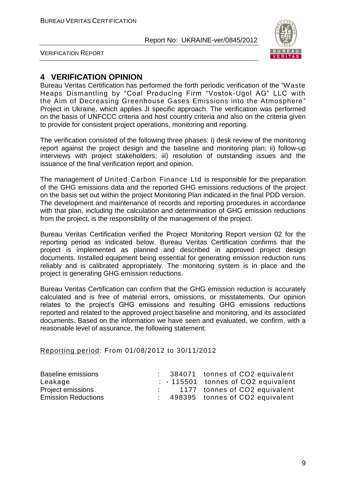

VERIFICATION REPORT

#### **4 VERIFICATION OPINION**

Bureau Veritas Certification has performed the forth periodic verification of the "Waste Heaps Dismantling by "Coal Producing Firm "Vostok-Ugol AG" LLC with the Aim of Decreasing Greenhouse Gases Emissions into the Atmosphere " Project in Ukraine, which applies JI specific approach. The verification was performed on the basis of UNFCCC criteria and host country criteria and also on the criteria given to provide for consistent project operations, monitoring and reporting.

The verification consisted of the following three phases: i) desk review of the monitoring report against the project design and the baseline and monitoring plan; ii) follow-up interviews with project stakeholders; iii) resolution of outstanding issues and the issuance of the final verification report and opinion.

The management of United Carbon Finance Ltd is responsible for the preparation of the GHG emissions data and the reported GHG emissions reductions of the project on the basis set out within the project Monitoring Plan indicated in the final PDD version. The development and maintenance of records and reporting procedures in accordance with that plan, including the calculation and determination of GHG emission reductions from the project, is the responsibility of the management of the project.

Bureau Veritas Certification verified the Project Monitoring Report version 02 for the reporting period as indicated below. Bureau Veritas Certification confirms that the project is implemented as planned and described in approved project design documents. Installed equipment being essential for generating emission reduction runs reliably and is calibrated appropriately. The monitoring system is in place and the project is generating GHG emission reductions.

Bureau Veritas Certification can confirm that the GHG emission reduction is accurately calculated and is free of material errors, omissions, or misstatements. Our opinion relates to the project's GHG emissions and resulting GHG emissions reductions reported and related to the approved project baseline and monitoring, and its associated documents. Based on the information we have seen and evaluated, we confirm, with a reasonable level of assurance, the following statement:

#### Reporting period: From 01/08/2012 to 30/11/2012

| Baseline emissions         |  | : 384071 tonnes of CO2 equivalent    |
|----------------------------|--|--------------------------------------|
| Leakage                    |  | $: -115501$ tonnes of CO2 equivalent |
| Project emissions          |  | 1177 tonnes of CO2 equivalent        |
| <b>Emission Reductions</b> |  | 498395 tonnes of CO2 equivalent      |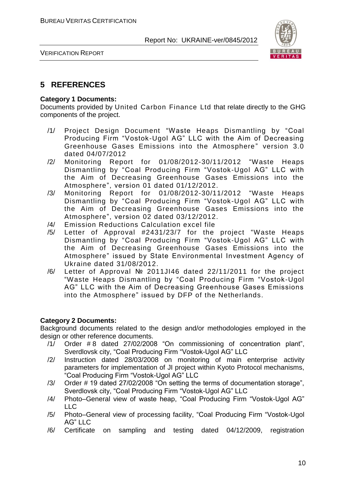

VERIFICATION REPORT

#### **5 REFERENCES**

#### **Category 1 Documents:**

Documents provided by United Carbon Finance Ltd that relate directly to the GHG components of the project.

- /1/ Project Design Document "Waste Heaps Dismantling by "Coal Producing Firm "Vostok-Ugol AG" LLC with the Aim of Decreasing Greenhouse Gases Emissions into the Atmosphere" version 3.0 dated 04/07/2012
- /2/ Monitoring Report for 01/08/2012-30/11/2012 "Waste Heaps Dismantling by "Coal Producing Firm "Vostok-Ugol AG" LLC with the Aim of Decreasing Greenhouse Gases Emissions into the Atmosphere", version 01 dated 01/12/2012.
- /3/ Monitoring Report for 01/08/2012-30/11/2012 "Waste Heaps Dismantling by "Coal Producing Firm "Vostok-Ugol AG" LLC with the Aim of Decreasing Greenhouse Gases Emissions into the Atmosphere", version 02 dated 03/12/2012.
- /4/ Emission Reductions Calculation excel file
- /5/ Letter of Approval #2431/23/7 for the project "Waste Heaps Dismantling by "Coal Producing Firm "Vostok-Ugol AG" LLC with the Aim of Decreasing Greenhouse Gases Emissions into the Atmosphere" issued by State Environmental Investment Agency of Ukraine dated 31/08/2012.
- /6/ Letter of Approval № 2011JI46 dated 22/11/2011 for the project "Waste Heaps Dismantling by "Coal Producing Firm "Vostok-Ugol AG" LLC with the Aim of Decreasing Greenhouse Gases Emissions into the Atmosphere" issued by DFP of the Netherlands.

#### **Category 2 Documents:**

Background documents related to the design and/or methodologies employed in the design or other reference documents.

- /1/ Order # 8 dated 27/02/2008 "On commissioning of concentration plant", Sverdlovsk city, "Coal Producing Firm "Vostok-Ugol AG" LLC
- /2/ Instruction dated 28/03/2008 on monitoring of main enterprise activity parameters for implementation of JI project within Kyoto Protocol mechanisms, "Coal Producing Firm "Vostok-Ugol AG" LLC
- /3/ Order # 19 dated 27/02/2008 "On setting the terms of documentation storage", Sverdlovsk city, "Coal Producing Firm "Vostok-Ugol AG" LLC
- /4/ Photo–General view of waste heap, "Coal Producing Firm "Vostok-Ugol AG" LLC
- /5/ Photo–General view of processing facility, "Coal Producing Firm "Vostok-Ugol AG" LLC
- /6/ Certificate on sampling and testing dated 04/12/2009, registration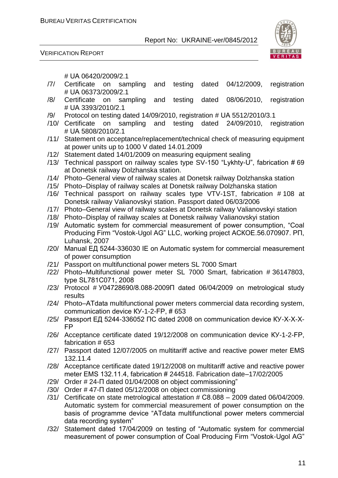



# UА 06420/2009/2.1

- /7/ Certificate on sampling and testing dated 04/12/2009, registration # UА 06373/2009/2.1
- /8/ Certificate on sampling and testing dated 08/06/2010, registration # UА 3393/2010/2.1
- /9/ Protocol on testing dated 14/09/2010, registration # UА 5512/2010/3.1
- /10/ Certificate on sampling and testing dated 24/09/2010, registration # UА 5808/2010/2.1
- /11/ Statement on acceptance/replacement/technical check of measuring equipment at power units up to 1000 V dated 14.01.2009
- /12/ Statement dated 14/01/2009 on measuring equipment sealing
- /13/ Technical passport on railway scales type SV-150 "Lykhty-U", fabrication # 69 at Donetsk railway Dolzhanska station.
- /14/ Photo–General view of railway scales at Donetsk railway Dolzhanska station
- /15/ Photo–Display of railway scales at Donetsk railway Dolzhanska station
- /16/ Technical passport on railway scales type VTV-1ST, fabrication # 108 at Donetsk railway Valianovskyi station. Passport dated 06/03/2006
- /17/ Photo–General view of railway scales at Donetsk railway Valianovskyi station
- /18/ Photo–Display of railway scales at Donetsk railway Valianovskyi station
- /19/ Automatic system for commercial measurement of power consumption, "Coal Producing Firm "Vostok-Ugol AG" LLC, working project АСКОЕ.56.070907. РП, Luhansk, 2007
- /20/ Manual ЕД 5244-336030 ІЕ on Automatic system for commercial measurement of power consumption
- /21/ Passport on multifunctional power meters SL 7000 Smart
- /22/ Photo–Multifunctional power meter SL 7000 Smart, fabrication # 36147803, type SL781С071, 2008
- /23/ Protocol # У04728690/8.088-2009П dated 06/04/2009 on metrological study results
- /24/ Photo–АТdаta multifunctional power meters commercial data recording system, communication device КУ-1-2-FР, # 653
- /25/ Passport ЕД 5244-336052 ПС dated 2008 on communication device КУ-Х-Х-Х-FР
- /26/ Acceptance certificate dated 19/12/2008 on communication device КУ-1-2-FР, fabrication # 653
- /27/ Passport dated 12/07/2005 on multitariff active and reactive power meter ЕМS 132.11.4
- /28/ Acceptance certificate dated 19/12/2008 on multitariff active and reactive power meter EMS 132.11.4, fabrication # 244518. Fabrication date-17/02/2005
- /29/ Order # 24-П dated 01/04/2008 on object commissioning"
- /30/ Order # 47-П dated 05/12/2008 on object commissioning
- /31/ Certificate on state metrological attestation # С8.088 2009 dated 06/04/2009. Automatic system for commercial measurement of power consumption on the basis of programme device "АТdаta multifunctional power meters commercial data recording system"
- /32/ Statement dated 17/04/2009 on testing of "Automatic system for commercial measurement of power consumption of Coal Producing Firm "Vostok-Ugol AG"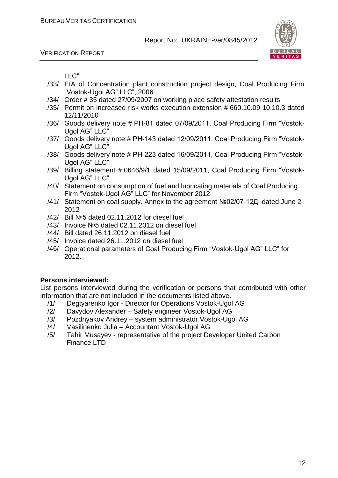



LLC"

- /33/ EIA of Concentration plant construction project design, Coal Producing Firm "Vostok-Ugol AG" LLC", 2006
- /34/ Order # 35 dated 27/09/2007 on working place safety attestation results
- /35/ Permit on increased risk works execution extension # 660.10.09-10.10.3 dated 12/11/2010
- /36/ Goods delivery note # РН-81 dated 07/09/2011, Coal Producing Firm "Vostok-Ugol AG" LLC"
- /37/ Goods delivery note # РН-143 dated 12/09/2011, Coal Producing Firm "Vostok-Ugol AG" LLC"
- /38/ Goods delivery note # РН-223 dated 16/09/2011, Coal Producing Firm "Vostok-Ugol AG" LLC"
- /39/ Billing statement # 0646/9/1 dated 15/09/2011, Coal Producing Firm "Vostok-Ugol AG" LLC"
- /40/ Statement on consumption of fuel and lubricating materials of Coal Producing Firm "Vostok-Ugol AG" LLC" for November 2012
- /41/ Statement on coal supply. Annex to the agreement №02/07-12ДІ dated June 2 2012
- /42/ Bill №5 dated 02.11.2012 for diesel fuel
- /43/ Invoice №5 dated 02.11.2012 on diesel fuel
- /44/ Bill dated 26.11.2012 on diesel fuel
- /45/ Invoice dated 26.11.2012 on diesel fuel
- /46/ Operational parameters of Coal Producing Firm "Vostok-Ugol AG" LLC" for 2012.

#### **Persons interviewed:**

List persons interviewed during the verification or persons that contributed with other information that are not included in the documents listed above.

- /1/ Degtyarenko Igor Director for Operations Vostok-Ugol AG
- /2/ Davydov Alexander Safety engineer Vostok-Ugol AG
- /3/ Pozdnyakov Andrey system administrator Vostok-Ugol AG
- /4/ Vasilinenko Julia Accountant Vostok-Ugol AG
- /5/ Tahir Musayev representative of the project Developer United Carbon Finance LTD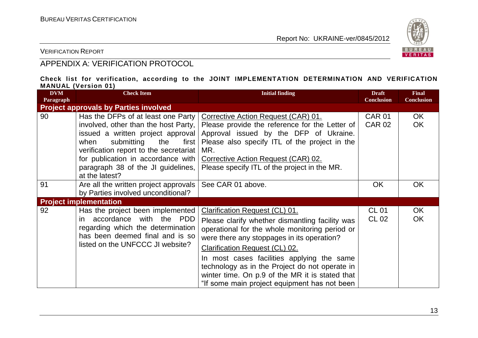

VERIFICATION REPORT

#### APPENDIX A: VERIFICATION PROTOCOL

#### **Check list for verification, according to the JOINT IMPLEMENTATION DETERMINATION AND VERIFICATION MANUAL (Version 01)**

| <b>DVM</b><br>Paragraph | <b>Check Item</b>                                                                                                                                                                                                                                                                               | <b>Initial finding</b>                                                                                                                                                                                                                                                                                                                                                                                                        | <b>Draft</b><br><b>Conclusion</b> | <b>Final</b><br><b>Conclusion</b> |
|-------------------------|-------------------------------------------------------------------------------------------------------------------------------------------------------------------------------------------------------------------------------------------------------------------------------------------------|-------------------------------------------------------------------------------------------------------------------------------------------------------------------------------------------------------------------------------------------------------------------------------------------------------------------------------------------------------------------------------------------------------------------------------|-----------------------------------|-----------------------------------|
|                         | <b>Project approvals by Parties involved</b>                                                                                                                                                                                                                                                    |                                                                                                                                                                                                                                                                                                                                                                                                                               |                                   |                                   |
| 90                      | Has the DFPs of at least one Party<br>involved, other than the host Party,<br>issued a written project approval<br>submitting<br>when<br>the<br>first  <br>verification report to the secretariat<br>for publication in accordance with<br>paragraph 38 of the JI guidelines,<br>at the latest? | Corrective Action Request (CAR) 01.<br>Please provide the reference for the Letter of<br>Approval issued by the DFP of Ukraine.<br>Please also specify ITL of the project in the<br>MR.<br>Corrective Action Request (CAR) 02.<br>Please specify ITL of the project in the MR.                                                                                                                                                | <b>CAR 01</b><br><b>CAR 02</b>    | OK.<br><b>OK</b>                  |
| 91                      | Are all the written project approvals<br>by Parties involved unconditional?                                                                                                                                                                                                                     | See CAR 01 above.                                                                                                                                                                                                                                                                                                                                                                                                             | <b>OK</b>                         | <b>OK</b>                         |
|                         | <b>Project implementation</b>                                                                                                                                                                                                                                                                   |                                                                                                                                                                                                                                                                                                                                                                                                                               |                                   |                                   |
| 92                      | Has the project been implemented<br>accordance with the PDD<br>in.<br>regarding which the determination<br>has been deemed final and is so<br>listed on the UNFCCC JI website?                                                                                                                  | Clarification Request (CL) 01.<br>Please clarify whether dismantling facility was<br>operational for the whole monitoring period or<br>were there any stoppages in its operation?<br><b>Clarification Request (CL) 02.</b><br>In most cases facilities applying the same<br>technology as in the Project do not operate in<br>winter time. On p.9 of the MR it is stated that<br>"If some main project equipment has not been | <b>CL 01</b><br>CL 02             | OK<br><b>OK</b>                   |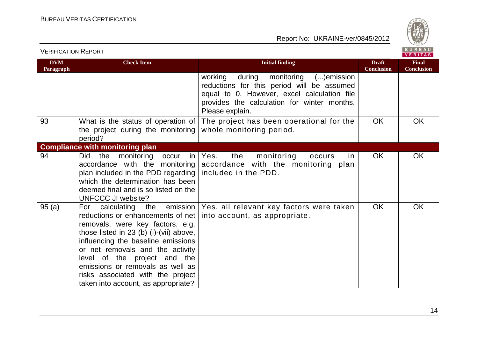

| <b>DVM</b><br>Paragraph | <b>Check Item</b>                                                                                                                                                                                                                                                                                                                                                          | <b>Initial finding</b>                                                                                                                                                                                          | <b>Draft</b><br>Conclusion | <b>Final</b><br><b>Conclusion</b> |
|-------------------------|----------------------------------------------------------------------------------------------------------------------------------------------------------------------------------------------------------------------------------------------------------------------------------------------------------------------------------------------------------------------------|-----------------------------------------------------------------------------------------------------------------------------------------------------------------------------------------------------------------|----------------------------|-----------------------------------|
|                         |                                                                                                                                                                                                                                                                                                                                                                            | during<br>monitoring<br>working<br>$()$ emission<br>reductions for this period will be assumed<br>equal to 0. However, excel calculation file<br>provides the calculation for winter months.<br>Please explain. |                            |                                   |
| 93                      | What is the status of operation of<br>the project during the monitoring<br>period?                                                                                                                                                                                                                                                                                         | The project has been operational for the<br>whole monitoring period.                                                                                                                                            | <b>OK</b>                  | OK                                |
|                         | <b>Compliance with monitoring plan</b>                                                                                                                                                                                                                                                                                                                                     |                                                                                                                                                                                                                 |                            |                                   |
| 94                      | Did<br>the<br>monitoring<br>occur<br>in<br>accordance with the monitoring<br>plan included in the PDD regarding<br>which the determination has been<br>deemed final and is so listed on the<br>UNFCCC JI website?                                                                                                                                                          | the<br>monitoring<br>Yes,<br>occurs<br>in.<br>accordance with the monitoring plan<br>included in the PDD.                                                                                                       | OK                         | <b>OK</b>                         |
| 95(a)                   | For calculating the emission<br>reductions or enhancements of net<br>removals, were key factors, e.g.<br>those listed in 23 (b) (i)-(vii) above,<br>influencing the baseline emissions<br>or net removals and the activity<br>level of the project and the<br>emissions or removals as well as<br>risks associated with the project<br>taken into account, as appropriate? | Yes, all relevant key factors were taken<br>into account, as appropriate.                                                                                                                                       | <b>OK</b>                  | OK                                |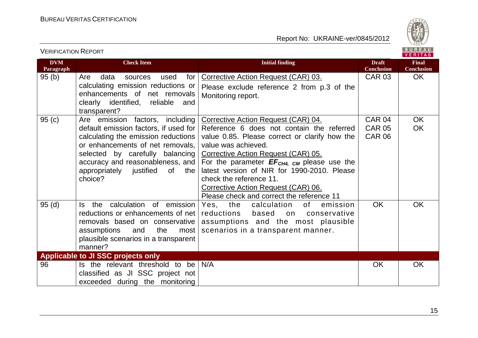

| <b>VERIFICATION REPORT</b> |                                                                                                                                                                                                                                                                            |                                                                                                                                                                                                                                                                                                                                                                                                                  |                                                 | BUREAU<br><b>VERITAS</b>          |
|----------------------------|----------------------------------------------------------------------------------------------------------------------------------------------------------------------------------------------------------------------------------------------------------------------------|------------------------------------------------------------------------------------------------------------------------------------------------------------------------------------------------------------------------------------------------------------------------------------------------------------------------------------------------------------------------------------------------------------------|-------------------------------------------------|-----------------------------------|
| <b>DVM</b><br>Paragraph    | <b>Check Item</b>                                                                                                                                                                                                                                                          | <b>Initial finding</b>                                                                                                                                                                                                                                                                                                                                                                                           | <b>Draft</b><br><b>Conclusion</b>               | <b>Final</b><br><b>Conclusion</b> |
| 95(b)                      | Are<br>data<br>used<br>for<br>sources<br>calculating emission reductions or<br>enhancements of net removals<br>clearly identified, reliable<br>and<br>transparent?                                                                                                         | Corrective Action Request (CAR) 03.<br>Please exclude reference 2 from p.3 of the<br>Monitoring report.                                                                                                                                                                                                                                                                                                          | <b>CAR 03</b>                                   | OK.                               |
| 95(c)                      | Are emission factors, including<br>default emission factors, if used for<br>calculating the emission reductions<br>or enhancements of net removals,<br>selected by carefully balancing<br>accuracy and reasonableness, and<br>appropriately justified of<br>the<br>choice? | Corrective Action Request (CAR) 04.<br>Reference 6 does not contain the referred<br>value 0.85. Please correct or clarify how the<br>value was achieved.<br>Corrective Action Request (CAR) 05.<br>For the parameter $EF_{CH4, CM}$ please use the<br>latest version of NIR for 1990-2010. Please<br>check the reference 11.<br>Corrective Action Request (CAR) 06.<br>Please check and correct the reference 11 | <b>CAR 04</b><br><b>CAR 05</b><br><b>CAR 06</b> | <b>OK</b><br><b>OK</b>            |
| 95(d)                      | the calculation of emission<br>ls l<br>reductions or enhancements of net<br>removals based on conservative<br>assumptions<br>and<br>the<br>most<br>plausible scenarios in a transparent<br>manner?                                                                         | Yes, the<br>calculation<br>of<br>emission<br>reductions<br>based<br>conservative<br>on<br>assumptions and the most plausible<br>scenarios in a transparent manner.                                                                                                                                                                                                                                               | <b>OK</b>                                       | <b>OK</b>                         |
|                            | Applicable to JI SSC projects only                                                                                                                                                                                                                                         |                                                                                                                                                                                                                                                                                                                                                                                                                  |                                                 |                                   |
| 96                         | Is the relevant threshold to be<br>classified as JI SSC project not<br>exceeded during the monitoring                                                                                                                                                                      | N/A                                                                                                                                                                                                                                                                                                                                                                                                              | <b>OK</b>                                       | <b>OK</b>                         |

15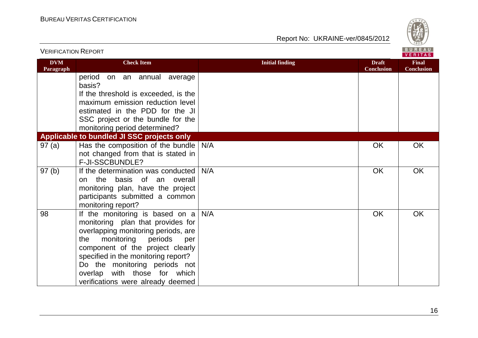

| <b>VERIFICATION REPORT</b> |                                                                                                                                                                                                                                                                                                                                            |                        |                                   | BUREAU<br><b>VERITAS</b>          |
|----------------------------|--------------------------------------------------------------------------------------------------------------------------------------------------------------------------------------------------------------------------------------------------------------------------------------------------------------------------------------------|------------------------|-----------------------------------|-----------------------------------|
| <b>DVM</b><br>Paragraph    | <b>Check Item</b>                                                                                                                                                                                                                                                                                                                          | <b>Initial finding</b> | <b>Draft</b><br><b>Conclusion</b> | <b>Final</b><br><b>Conclusion</b> |
|                            | period<br>on an annual average<br>basis?                                                                                                                                                                                                                                                                                                   |                        |                                   |                                   |
|                            | If the threshold is exceeded, is the                                                                                                                                                                                                                                                                                                       |                        |                                   |                                   |
|                            | maximum emission reduction level                                                                                                                                                                                                                                                                                                           |                        |                                   |                                   |
|                            | estimated in the PDD for the JI                                                                                                                                                                                                                                                                                                            |                        |                                   |                                   |
|                            | SSC project or the bundle for the                                                                                                                                                                                                                                                                                                          |                        |                                   |                                   |
|                            | monitoring period determined?<br>Applicable to bundled JI SSC projects only                                                                                                                                                                                                                                                                |                        |                                   |                                   |
| 97(a)                      | Has the composition of the bundle                                                                                                                                                                                                                                                                                                          | N/A                    | OK                                | <b>OK</b>                         |
|                            | not changed from that is stated in                                                                                                                                                                                                                                                                                                         |                        |                                   |                                   |
|                            | F-JI-SSCBUNDLE?                                                                                                                                                                                                                                                                                                                            |                        |                                   |                                   |
| 97(b)                      | If the determination was conducted<br>the basis of an overall<br>on<br>monitoring plan, have the project<br>participants submitted a common<br>monitoring report?                                                                                                                                                                          | N/A                    | OK                                | OK                                |
| 98                         | If the monitoring is based on $a \mid$<br>monitoring plan that provides for<br>overlapping monitoring periods, are<br>monitoring<br>periods<br>the<br>per<br>component of the project clearly<br>specified in the monitoring report?<br>Do the monitoring periods not<br>overlap with those for which<br>verifications were already deemed | N/A                    | OK                                | OK                                |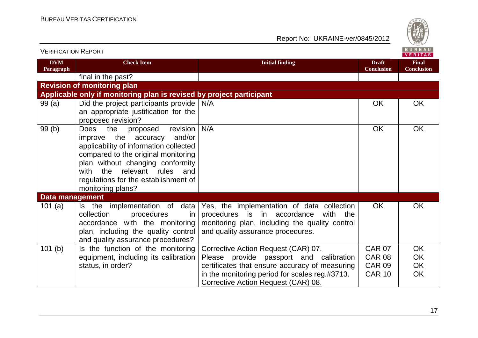

| VERIFICATION INEPURT    |                                                                                                                                                                                                                                                                                                                              |                                                                                                                                                                                 |                                   | VERITAS                           |
|-------------------------|------------------------------------------------------------------------------------------------------------------------------------------------------------------------------------------------------------------------------------------------------------------------------------------------------------------------------|---------------------------------------------------------------------------------------------------------------------------------------------------------------------------------|-----------------------------------|-----------------------------------|
| <b>DVM</b><br>Paragraph | <b>Check Item</b>                                                                                                                                                                                                                                                                                                            | <b>Initial finding</b>                                                                                                                                                          | <b>Draft</b><br><b>Conclusion</b> | <b>Final</b><br><b>Conclusion</b> |
|                         | final in the past?                                                                                                                                                                                                                                                                                                           |                                                                                                                                                                                 |                                   |                                   |
|                         | <b>Revision of monitoring plan</b>                                                                                                                                                                                                                                                                                           |                                                                                                                                                                                 |                                   |                                   |
|                         | Applicable only if monitoring plan is revised by project participant                                                                                                                                                                                                                                                         |                                                                                                                                                                                 |                                   |                                   |
| 99(a)                   | Did the project participants provide<br>an appropriate justification for the                                                                                                                                                                                                                                                 | N/A                                                                                                                                                                             | <b>OK</b>                         | OK                                |
| 99(b)                   | proposed revision?<br>the<br>revision<br><b>Does</b><br>proposed<br>improve the accuracy<br>and/or<br>applicability of information collected<br>compared to the original monitoring<br>plan without changing conformity<br>relevant rules<br>with<br>the<br>and<br>regulations for the establishment of<br>monitoring plans? | N/A                                                                                                                                                                             | <b>OK</b>                         | OK                                |
| <b>Data management</b>  |                                                                                                                                                                                                                                                                                                                              |                                                                                                                                                                                 |                                   |                                   |
| 101 $(a)$               | data<br>Is the implementation of<br>collection<br>procedures<br>in<br>accordance with the monitoring<br>plan, including the quality control<br>and quality assurance procedures?                                                                                                                                             | Yes, the implementation of data collection<br>procedures is in accordance<br>with<br>the<br>monitoring plan, including the quality control<br>and quality assurance procedures. | <b>OK</b>                         | OK                                |
| 101(b)                  | Is the function of the monitoring                                                                                                                                                                                                                                                                                            | Corrective Action Request (CAR) 07.                                                                                                                                             | <b>CAR 07</b>                     | <b>OK</b>                         |
|                         | equipment, including its calibration                                                                                                                                                                                                                                                                                         | Please provide passport and calibration                                                                                                                                         | <b>CAR 08</b>                     | OK                                |
|                         | status, in order?                                                                                                                                                                                                                                                                                                            | certificates that ensure accuracy of measuring                                                                                                                                  | <b>CAR 09</b>                     | OK                                |
|                         |                                                                                                                                                                                                                                                                                                                              | in the monitoring period for scales reg.#3713.<br>Corrective Action Request (CAR) 08.                                                                                           | <b>CAR 10</b>                     | <b>OK</b>                         |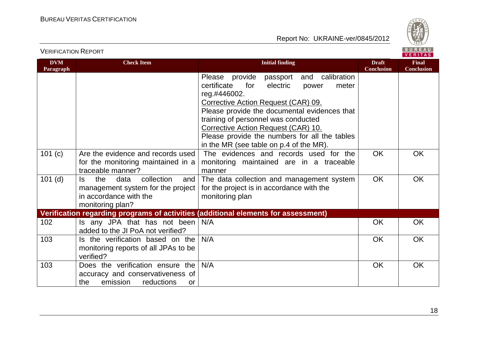

VERIFICATION REPORT

| <b>DVM</b><br>Paragraph | <b>Check Item</b>                                                                                                          | <b>Initial finding</b>                                                                                                                                                                                                                                                                                                                                                          | <b>Draft</b><br><b>Conclusion</b> | <b>Final</b><br><b>Conclusion</b> |
|-------------------------|----------------------------------------------------------------------------------------------------------------------------|---------------------------------------------------------------------------------------------------------------------------------------------------------------------------------------------------------------------------------------------------------------------------------------------------------------------------------------------------------------------------------|-----------------------------------|-----------------------------------|
|                         |                                                                                                                            | Please provide<br>passport and calibration<br>certificate<br>for<br>electric<br>meter<br>power<br>reg.#446002.<br>Corrective Action Request (CAR) 09.<br>Please provide the documental evidences that<br>training of personnel was conducted<br>Corrective Action Request (CAR) 10.<br>Please provide the numbers for all the tables<br>in the MR (see table on p.4 of the MR). |                                   |                                   |
| 101 (c)                 | Are the evidence and records used<br>for the monitoring maintained in a<br>traceable manner?                               | The evidences and records used for the<br>monitoring maintained are in a traceable<br>manner                                                                                                                                                                                                                                                                                    | <b>OK</b>                         | <b>OK</b>                         |
| $101$ (d)               | collection<br>the<br>data<br>and<br>ls.<br>management system for the project<br>in accordance with the<br>monitoring plan? | The data collection and management system<br>for the project is in accordance with the<br>monitoring plan                                                                                                                                                                                                                                                                       | <b>OK</b>                         | <b>OK</b>                         |
|                         |                                                                                                                            | Verification regarding programs of activities (additional elements for assessment)                                                                                                                                                                                                                                                                                              |                                   |                                   |
| 102                     | Is any JPA that has not been<br>added to the JI PoA not verified?                                                          | N/A                                                                                                                                                                                                                                                                                                                                                                             | <b>OK</b>                         | <b>OK</b>                         |
| 103                     | Is the verification based on the<br>monitoring reports of all JPAs to be<br>verified?                                      | N/A                                                                                                                                                                                                                                                                                                                                                                             | <b>OK</b>                         | <b>OK</b>                         |
| 103                     | Does the verification ensure the<br>accuracy and conservativeness of<br>emission<br>reductions<br>the<br>or                | N/A                                                                                                                                                                                                                                                                                                                                                                             | <b>OK</b>                         | <b>OK</b>                         |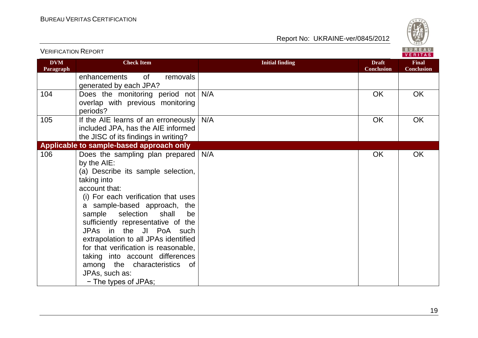

| <b>VERIFICATION REPORT</b> |                                                                                                                                                                                                                                                                                                                                                                                                                                                                                                 |                        |                                   | BUREAU<br><b>VERITAS</b>          |
|----------------------------|-------------------------------------------------------------------------------------------------------------------------------------------------------------------------------------------------------------------------------------------------------------------------------------------------------------------------------------------------------------------------------------------------------------------------------------------------------------------------------------------------|------------------------|-----------------------------------|-----------------------------------|
| <b>DVM</b><br>Paragraph    | <b>Check Item</b>                                                                                                                                                                                                                                                                                                                                                                                                                                                                               | <b>Initial finding</b> | <b>Draft</b><br><b>Conclusion</b> | <b>Final</b><br><b>Conclusion</b> |
|                            | enhancements<br>removals<br>0f<br>generated by each JPA?                                                                                                                                                                                                                                                                                                                                                                                                                                        |                        |                                   |                                   |
| 104                        | Does the monitoring period not N/A<br>overlap with previous monitoring<br>periods?                                                                                                                                                                                                                                                                                                                                                                                                              |                        | OK                                | <b>OK</b>                         |
| 105                        | If the AIE learns of an erroneously<br>included JPA, has the AIE informed<br>the JISC of its findings in writing?                                                                                                                                                                                                                                                                                                                                                                               | N/A                    | <b>OK</b>                         | OK                                |
|                            | Applicable to sample-based approach only                                                                                                                                                                                                                                                                                                                                                                                                                                                        |                        |                                   |                                   |
| 106                        | Does the sampling plan prepared<br>by the AIE:<br>(a) Describe its sample selection,<br>taking into<br>account that:<br>(i) For each verification that uses<br>a sample-based approach, the<br>selection<br>sample<br>shall<br>be<br>sufficiently representative of the<br>JPAs in the JI PoA such<br>extrapolation to all JPAs identified<br>for that verification is reasonable,<br>taking into account differences<br>among the characteristics of<br>JPAs, such as:<br>- The types of JPAs; | N/A                    | OK                                | <b>OK</b>                         |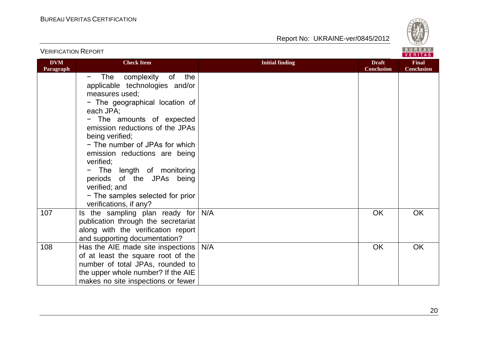

|                         |                                                                                                                                                                                                                                                                                                                                                                                 |                                                             | VERITAS                           |
|-------------------------|---------------------------------------------------------------------------------------------------------------------------------------------------------------------------------------------------------------------------------------------------------------------------------------------------------------------------------------------------------------------------------|-------------------------------------------------------------|-----------------------------------|
| <b>DVM</b><br>Paragraph | <b>Check Item</b>                                                                                                                                                                                                                                                                                                                                                               | <b>Initial finding</b><br><b>Draft</b><br><b>Conclusion</b> | <b>Final</b><br><b>Conclusion</b> |
|                         | The complexity of<br>the<br>-<br>applicable technologies and/or<br>measures used;<br>- The geographical location of<br>each JPA;<br>- The amounts of expected<br>emission reductions of the JPAs<br>being verified;<br>- The number of JPAs for which<br>emission reductions are being<br>verified;<br>- The length of monitoring<br>periods of the JPAs being<br>verified; and |                                                             |                                   |
|                         | - The samples selected for prior<br>verifications, if any?                                                                                                                                                                                                                                                                                                                      |                                                             |                                   |
| 107                     | Is the sampling plan ready for<br>publication through the secretariat<br>along with the verification report<br>and supporting documentation?                                                                                                                                                                                                                                    | N/A<br><b>OK</b>                                            | <b>OK</b>                         |
| 108                     | Has the AIE made site inspections<br>of at least the square root of the<br>number of total JPAs, rounded to<br>the upper whole number? If the AIE<br>makes no site inspections or fewer                                                                                                                                                                                         | N/A<br><b>OK</b>                                            | <b>OK</b>                         |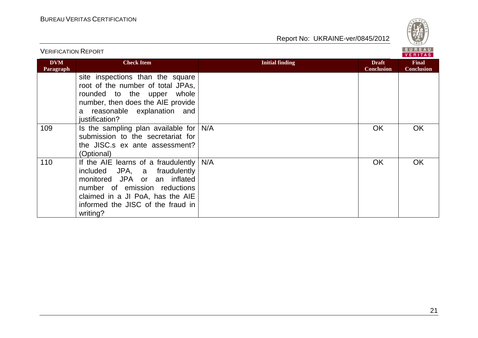

| <b>VERIFICATION REPORT</b> |                                                                                                                                                                                                                           |                        |                                   | BUREAU<br><b>VERITAS</b>          |
|----------------------------|---------------------------------------------------------------------------------------------------------------------------------------------------------------------------------------------------------------------------|------------------------|-----------------------------------|-----------------------------------|
| <b>DVM</b><br>Paragraph    | <b>Check Item</b>                                                                                                                                                                                                         | <b>Initial finding</b> | <b>Draft</b><br><b>Conclusion</b> | <b>Final</b><br><b>Conclusion</b> |
|                            | site inspections than the square<br>root of the number of total JPAs,<br>rounded to the upper<br>whole<br>number, then does the AIE provide<br>a reasonable explanation and<br>justification?                             |                        |                                   |                                   |
| 109                        | Is the sampling plan available for<br>submission to the secretariat for<br>the JISC.s ex ante assessment?<br>(Optional)                                                                                                   | N/A                    | <b>OK</b>                         | <b>OK</b>                         |
| 110                        | If the AIE learns of a fraudulently<br>included JPA, a fraudulently<br>monitored JPA or an inflated<br>number of emission reductions<br>claimed in a JI PoA, has the AIE<br>informed the JISC of the fraud in<br>writing? | N/A                    | <b>OK</b>                         | OK                                |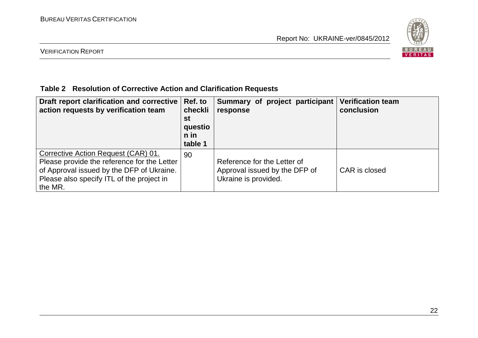

#### VERIFICATION REPORT

#### **Table 2 Resolution of Corrective Action and Clarification Requests**

| Draft report clarification and corrective<br>action requests by verification team                                                                                                       | Ref. to<br>checkli<br>st<br>questio<br>n in<br>table 1 | Summary of project participant<br>response                                           | <b>Verification team</b><br>conclusion |
|-----------------------------------------------------------------------------------------------------------------------------------------------------------------------------------------|--------------------------------------------------------|--------------------------------------------------------------------------------------|----------------------------------------|
| Corrective Action Request (CAR) 01.<br>Please provide the reference for the Letter<br>of Approval issued by the DFP of Ukraine.<br>Please also specify ITL of the project in<br>the MR. | 90                                                     | Reference for the Letter of<br>Approval issued by the DFP of<br>Ukraine is provided. | CAR is closed                          |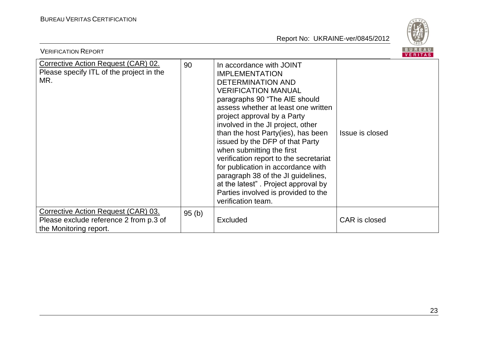

| <b>VERIFICATION REPORT</b>                                                                              |       |                                                                                                                                                                                                                                                                                                                                                                                                                                                                                                                                                                                         |                 |  |
|---------------------------------------------------------------------------------------------------------|-------|-----------------------------------------------------------------------------------------------------------------------------------------------------------------------------------------------------------------------------------------------------------------------------------------------------------------------------------------------------------------------------------------------------------------------------------------------------------------------------------------------------------------------------------------------------------------------------------------|-----------------|--|
| Corrective Action Request (CAR) 02.<br>Please specify ITL of the project in the<br>MR.                  | 90    | In accordance with JOINT<br><b>IMPLEMENTATION</b><br><b>DETERMINATION AND</b><br><b>VERIFICATION MANUAL</b><br>paragraphs 90 "The AIE should<br>assess whether at least one written<br>project approval by a Party<br>involved in the JI project, other<br>than the host Party(ies), has been<br>issued by the DFP of that Party<br>when submitting the first<br>verification report to the secretariat<br>for publication in accordance with<br>paragraph 38 of the JI guidelines,<br>at the latest". Project approval by<br>Parties involved is provided to the<br>verification team. | Issue is closed |  |
| Corrective Action Request (CAR) 03.<br>Please exclude reference 2 from p.3 of<br>the Monitoring report. | 95(b) | <b>Excluded</b>                                                                                                                                                                                                                                                                                                                                                                                                                                                                                                                                                                         | CAR is closed   |  |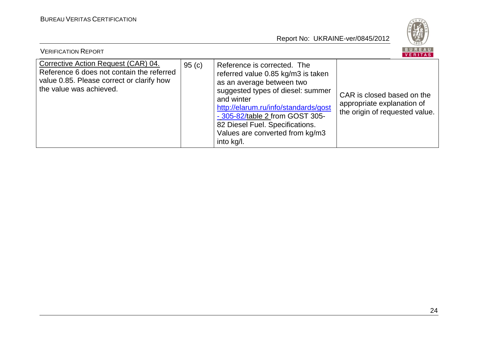

| <b>VERIFICATION REPORT</b>                                                                                                                               |       |                                                                                                                                                                                                                                                                                                                  | I BUREAU<br>VERITAS                                                                        |
|----------------------------------------------------------------------------------------------------------------------------------------------------------|-------|------------------------------------------------------------------------------------------------------------------------------------------------------------------------------------------------------------------------------------------------------------------------------------------------------------------|--------------------------------------------------------------------------------------------|
| Corrective Action Request (CAR) 04.<br>Reference 6 does not contain the referred<br>value 0.85. Please correct or clarify how<br>the value was achieved. | 95(c) | Reference is corrected. The<br>referred value 0.85 kg/m3 is taken<br>as an average between two<br>suggested types of diesel: summer<br>and winter<br>http://elarum.ru/info/standards/gost<br>- 305-82/table 2 from GOST 305-<br>82 Diesel Fuel. Specifications.<br>Values are converted from kg/m3<br>into kg/l. | CAR is closed based on the<br>appropriate explanation of<br>the origin of requested value. |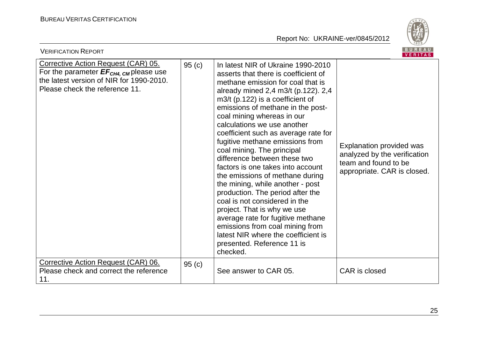

| <b>BUREAU</b><br><b>VERIFICATION REPORT</b><br>VERITAS                                                                                                                  |       |                                                                                                                                                                                                                                                                                                                                                                                                                                                                                                                                                                                                                                                                                                                                                                                                                  |                                                                                                                 |  |  |
|-------------------------------------------------------------------------------------------------------------------------------------------------------------------------|-------|------------------------------------------------------------------------------------------------------------------------------------------------------------------------------------------------------------------------------------------------------------------------------------------------------------------------------------------------------------------------------------------------------------------------------------------------------------------------------------------------------------------------------------------------------------------------------------------------------------------------------------------------------------------------------------------------------------------------------------------------------------------------------------------------------------------|-----------------------------------------------------------------------------------------------------------------|--|--|
| Corrective Action Request (CAR) 05.<br>For the parameter $EF_{CH4, \text{CM}}$ please use<br>the latest version of NIR for 1990-2010.<br>Please check the reference 11. | 95(c) | In latest NIR of Ukraine 1990-2010<br>asserts that there is coefficient of<br>methane emission for coal that is<br>already mined 2,4 m3/t (p.122). 2,4<br>$m3/t$ (p.122) is a coefficient of<br>emissions of methane in the post-<br>coal mining whereas in our<br>calculations we use another<br>coefficient such as average rate for<br>fugitive methane emissions from<br>coal mining. The principal<br>difference between these two<br>factors is one takes into account<br>the emissions of methane during<br>the mining, while another - post<br>production. The period after the<br>coal is not considered in the<br>project. That is why we use<br>average rate for fugitive methane<br>emissions from coal mining from<br>latest NIR where the coefficient is<br>presented. Reference 11 is<br>checked. | Explanation provided was<br>analyzed by the verification<br>team and found to be<br>appropriate. CAR is closed. |  |  |
| Corrective Action Request (CAR) 06.<br>Please check and correct the reference<br>11.                                                                                    | 95(c) | See answer to CAR 05.                                                                                                                                                                                                                                                                                                                                                                                                                                                                                                                                                                                                                                                                                                                                                                                            | CAR is closed                                                                                                   |  |  |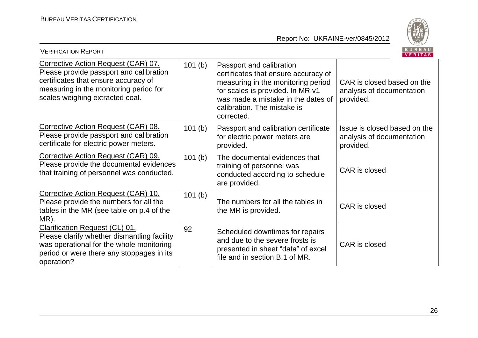

| <b>VERIFICATION REPORT</b>                                                                                                                                                                          |        |                                                                                                                                                                                                                               | BUREAU<br><b>VERITAS</b>                                               |
|-----------------------------------------------------------------------------------------------------------------------------------------------------------------------------------------------------|--------|-------------------------------------------------------------------------------------------------------------------------------------------------------------------------------------------------------------------------------|------------------------------------------------------------------------|
| Corrective Action Request (CAR) 07.<br>Please provide passport and calibration<br>certificates that ensure accuracy of<br>measuring in the monitoring period for<br>scales weighing extracted coal. | 101(b) | Passport and calibration<br>certificates that ensure accuracy of<br>measuring in the monitoring period<br>for scales is provided. In MR v1<br>was made a mistake in the dates of<br>calibration. The mistake is<br>corrected. | CAR is closed based on the<br>analysis of documentation<br>provided.   |
| Corrective Action Request (CAR) 08.<br>Please provide passport and calibration<br>certificate for electric power meters.                                                                            | 101(b) | Passport and calibration certificate<br>for electric power meters are<br>provided.                                                                                                                                            | Issue is closed based on the<br>analysis of documentation<br>provided. |
| Corrective Action Request (CAR) 09.<br>Please provide the documental evidences<br>that training of personnel was conducted.                                                                         | 101(b) | The documental evidences that<br>training of personnel was<br>conducted according to schedule<br>are provided.                                                                                                                | CAR is closed                                                          |
| Corrective Action Request (CAR) 10.<br>Please provide the numbers for all the<br>tables in the MR (see table on p.4 of the<br>MR).                                                                  | 101(b) | The numbers for all the tables in<br>the MR is provided.                                                                                                                                                                      | CAR is closed                                                          |
| Clarification Request (CL) 01.<br>Please clarify whether dismantling facility<br>was operational for the whole monitoring<br>period or were there any stoppages in its<br>operation?                | 92     | Scheduled downtimes for repairs<br>and due to the severe frosts is<br>presented in sheet "data" of excel<br>file and in section B.1 of MR.                                                                                    | CAR is closed                                                          |